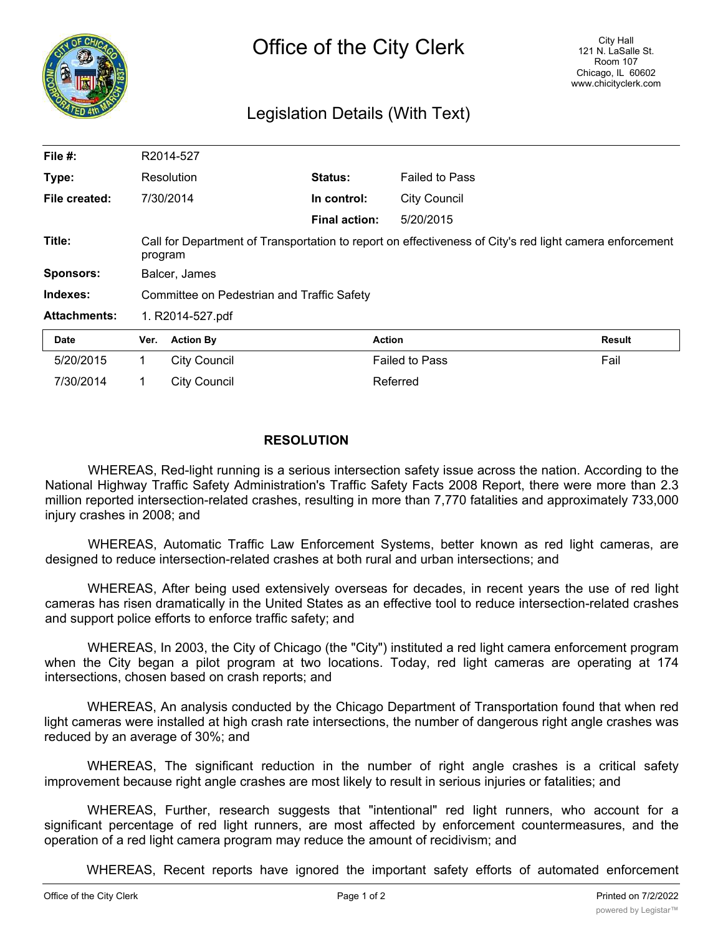

## Legislation Details (With Text)

| File #:             |                                                                                                                    | R2014-527           |                      |                       |               |
|---------------------|--------------------------------------------------------------------------------------------------------------------|---------------------|----------------------|-----------------------|---------------|
| Type:               |                                                                                                                    | Resolution          | <b>Status:</b>       | <b>Failed to Pass</b> |               |
| File created:       |                                                                                                                    | 7/30/2014           | In control:          | <b>City Council</b>   |               |
|                     |                                                                                                                    |                     | <b>Final action:</b> | 5/20/2015             |               |
| Title:              | Call for Department of Transportation to report on effectiveness of City's red light camera enforcement<br>program |                     |                      |                       |               |
| <b>Sponsors:</b>    | Balcer, James                                                                                                      |                     |                      |                       |               |
| Indexes:            | Committee on Pedestrian and Traffic Safety                                                                         |                     |                      |                       |               |
| <b>Attachments:</b> | 1. R2014-527.pdf                                                                                                   |                     |                      |                       |               |
| <b>Date</b>         | Ver.                                                                                                               | <b>Action By</b>    | <b>Action</b>        |                       | <b>Result</b> |
| 5/20/2015           | 1                                                                                                                  | <b>City Council</b> |                      | <b>Failed to Pass</b> | Fail          |
| 7/30/2014           | 1                                                                                                                  | <b>City Council</b> |                      | Referred              |               |

## **RESOLUTION**

WHEREAS, Red-light running is a serious intersection safety issue across the nation. According to the National Highway Traffic Safety Administration's Traffic Safety Facts 2008 Report, there were more than 2.3 million reported intersection-related crashes, resulting in more than 7,770 fatalities and approximately 733,000 injury crashes in 2008; and

WHEREAS, Automatic Traffic Law Enforcement Systems, better known as red light cameras, are designed to reduce intersection-related crashes at both rural and urban intersections; and

WHEREAS, After being used extensively overseas for decades, in recent years the use of red light cameras has risen dramatically in the United States as an effective tool to reduce intersection-related crashes and support police efforts to enforce traffic safety; and

WHEREAS, In 2003, the City of Chicago (the "City") instituted a red light camera enforcement program when the City began a pilot program at two locations. Today, red light cameras are operating at 174 intersections, chosen based on crash reports; and

WHEREAS, An analysis conducted by the Chicago Department of Transportation found that when red light cameras were installed at high crash rate intersections, the number of dangerous right angle crashes was reduced by an average of 30%; and

WHEREAS, The significant reduction in the number of right angle crashes is a critical safety improvement because right angle crashes are most likely to result in serious injuries or fatalities; and

WHEREAS, Further, research suggests that "intentional" red light runners, who account for a significant percentage of red light runners, are most affected by enforcement countermeasures, and the operation of a red light camera program may reduce the amount of recidivism; and

WHEREAS, Recent reports have ignored the important safety efforts of automated enforcement